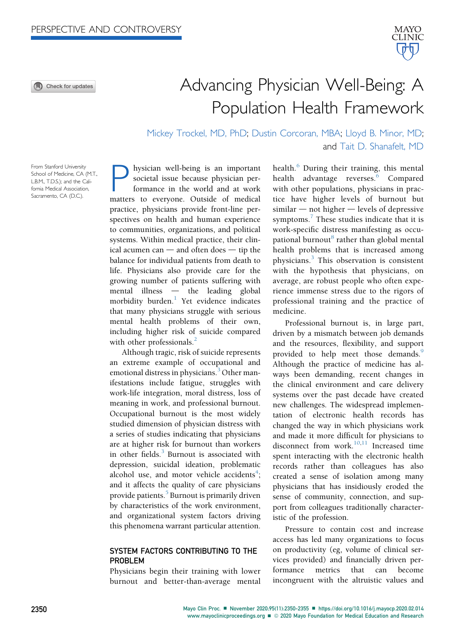⋒ Check for updates



# Advancing Physician Well-Being: A Population Health Framework

Mickey Trockel, MD, PhD; Dustin Corcoran, MBA; Lloyd B. Minor, MD; and Tait D. Shanafelt, MD

From Stanford University School of Medicine, CA (M.T., L.B.M., T.D.S.); and the California Medical Association, Sacramento, CA (D.C.).

hysician well-being is an important societal issue because physician performance in the world and at work matters to everyone. Outside of medical practice, physicians provide front-line perspectives on health and human experience to communities, organizations, and political systems. Within medical practice, their clinical acumen can  $-$  and often does  $-$  tip the balance for individual patients from death to life. Physicians also provide care for the growing number of patients suffering with  $mental$  illness  $-$  the leading global morbidity burden.<sup>[1](#page-4-0)</sup> Yet evidence indicates that many physicians struggle with serious mental health problems of their own, including higher risk of suicide compared with other professionals. $^{2}$  $^{2}$  $^{2}$ 

Although tragic, risk of suicide represents an extreme example of occupational and emotional distress in physicians.<sup>[3](#page-4-2)</sup> Other manifestations include fatigue, struggles with work-life integration, moral distress, loss of meaning in work, and professional burnout. Occupational burnout is the most widely studied dimension of physician distress with a series of studies indicating that physicians are at higher risk for burnout than workers in other fields. $3$  Burnout is associated with depression, suicidal ideation, problematic alcohol use, and motor vehicle accidents<sup>[4](#page-4-3)</sup>; and it affects the quality of care physicians provide patients.<sup>[5](#page-4-4)</sup> Burnout is primarily driven by characteristics of the work environment, and organizational system factors driving this phenomena warrant particular attention.

## SYSTEM FACTORS CONTRIBUTING TO THE PROBLEM

Physicians begin their training with lower burnout and better-than-average mental health. $6$  During their training, this mental health advantage reverses.<sup>[6](#page-4-5)</sup> Compared with other populations, physicians in practice have higher levels of burnout but  $s$ imilar  $-$  not higher  $-$  levels of depressive symptoms. $\frac{7}{7}$  $\frac{7}{7}$  $\frac{7}{7}$  These studies indicate that it is work-specific distress manifesting as occu-pational burnout<sup>[8](#page-4-7)</sup> rather than global mental health problems that is increased among physicians.[3](#page-4-2) This observation is consistent with the hypothesis that physicians, on average, are robust people who often experience immense stress due to the rigors of professional training and the practice of medicine.

Professional burnout is, in large part, driven by a mismatch between job demands and the resources, flexibility, and support provided to help meet those demands.<sup>[9](#page-4-8)</sup> Although the practice of medicine has always been demanding, recent changes in the clinical environment and care delivery systems over the past decade have created new challenges. The widespread implementation of electronic health records has changed the way in which physicians work and made it more difficult for physicians to disconnect from work.<sup>[10](#page-4-9)[,11](#page-4-10)</sup> Increased time spent interacting with the electronic health records rather than colleagues has also created a sense of isolation among many physicians that has insidiously eroded the sense of community, connection, and support from colleagues traditionally characteristic of the profession.

Pressure to contain cost and increase access has led many organizations to focus on productivity (eg, volume of clinical services provided) and financially driven performance metrics that can become incongruent with the altruistic values and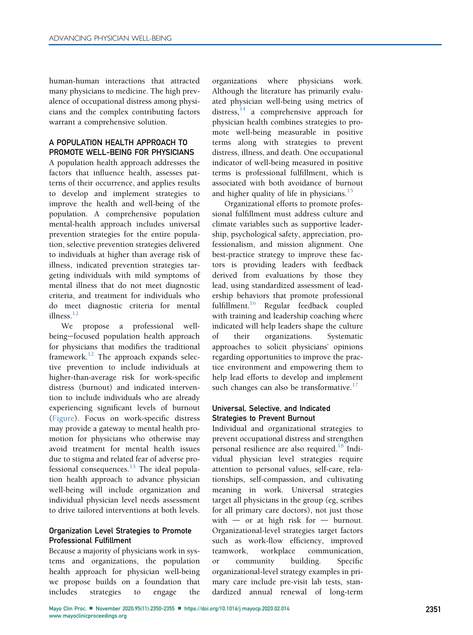human-human interactions that attracted many physicians to medicine. The high prevalence of occupational distress among physicians and the complex contributing factors warrant a comprehensive solution.

## A POPULATION HEALTH APPROACH TO PROMOTE WELL-BEING FOR PHYSICIANS

A population health approach addresses the factors that influence health, assesses patterns of their occurrence, and applies results to develop and implement strategies to improve the health and well-being of the population. A comprehensive population mental-health approach includes universal prevention strategies for the entire population, selective prevention strategies delivered to individuals at higher than average risk of illness, indicated prevention strategies targeting individuals with mild symptoms of mental illness that do not meet diagnostic criteria, and treatment for individuals who do meet diagnostic criteria for mental illness.[12](#page-4-11)

We propose a professional wellbeing-focused population health approach for physicians that modifies the traditional framework.<sup>[12](#page-4-11)</sup> The approach expands selective prevention to include individuals at higher-than-average risk for work-specific distress (burnout) and indicated intervention to include individuals who are already experiencing significant levels of burnout ([Figure](#page-2-0)). Focus on work-specific distress may provide a gateway to mental health promotion for physicians who otherwise may avoid treatment for mental health issues due to stigma and related fear of adverse professional consequences. $^{13}$  $^{13}$  $^{13}$  The ideal population health approach to advance physician well-being will include organization and individual physician level needs assessment to drive tailored interventions at both levels.

## Organization Level Strategies to Promote Professional Fulfillment

Because a majority of physicians work in systems and organizations, the population health approach for physician well-being we propose builds on a foundation that<br>includes strategies to engage the strategies to engage the

organizations where physicians work. Although the literature has primarily evaluated physician well-being using metrics of distress,  $\frac{14}{4}$  $\frac{14}{4}$  $\frac{14}{4}$  a comprehensive approach for physician health combines strategies to promote well-being measurable in positive terms along with strategies to prevent distress, illness, and death. One occupational indicator of well-being measured in positive terms is professional fulfillment, which is associated with both avoidance of burnout and higher quality of life in physicians. $15$ 

Organizational efforts to promote professional fulfillment must address culture and climate variables such as supportive leadership, psychological safety, appreciation, professionalism, and mission alignment. One best-practice strategy to improve these factors is providing leaders with feedback derived from evaluations by those they lead, using standardized assessment of leadership behaviors that promote professional fulfillment.<sup>[16](#page-4-15)</sup> Regular feedback coupled with training and leadership coaching where indicated will help leaders shape the culture of their organizations. Systematic approaches to solicit physicians' opinions regarding opportunities to improve the practice environment and empowering them to help lead efforts to develop and implement such changes can also be transformative.<sup>[17](#page-5-0)</sup>

# Universal, Selective, and Indicated Strategies to Prevent Burnout

Individual and organizational strategies to prevent occupational distress and strengthen personal resilience are also required.<sup>[18](#page-5-1)</sup> Individual physician level strategies require attention to personal values, self-care, relationships, self-compassion, and cultivating meaning in work. Universal strategies target all physicians in the group (eg, scribes for all primary care doctors), not just those with  $-$  or at high risk for  $-$  burnout. Organizational-level strategies target factors such as work-flow efficiency, improved teamwork, workplace communication, or community building. Specific organizational-level strategy examples in primary care include pre-visit lab tests, standardized annual renewal of long-term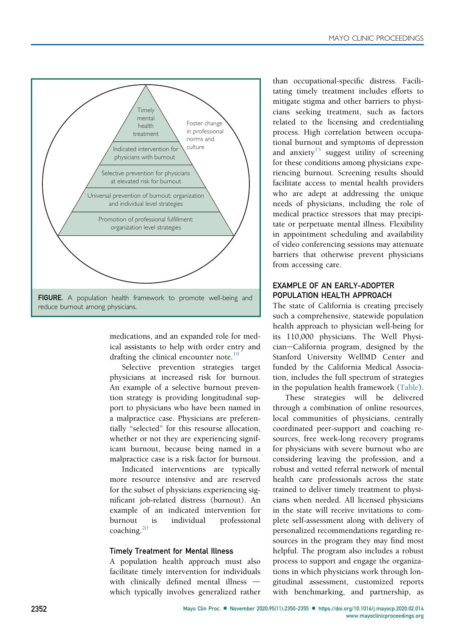<span id="page-2-0"></span>

medications, and an expanded role for medical assistants to help with order entry and drafting the clinical encounter note.<sup>[19](#page-5-2)</sup>

Selective prevention strategies target physicians at increased risk for burnout. An example of a selective burnout prevention strategy is providing longitudinal support to physicians who have been named in a malpractice case. Physicians are preferentially "selected" for this resourse allocation, whether or not they are experiencing significant burnout, because being named in a malpractice case is a risk factor for burnout.

Indicated interventions are typically more resource intensive and are reserved for the subset of physicians experiencing significant job-related distress (burnout). An example of an indicated intervention for burnout is individual professional coaching.<sup>[20](#page-5-3)</sup>

### Timely Treatment for Mental Illness

A population health approach must also facilitate timely intervention for individuals with clinically defined mental illness  $$ which typically involves generalized rather than occupational-specific distress. Facilitating timely treatment includes efforts to mitigate stigma and other barriers to physicians seeking treatment, such as factors related to the licensing and credentialing process. High correlation between occupational burnout and symptoms of depression and anxiety<sup>[15](#page-4-14)</sup> suggest utility of screening for these conditions among physicians experiencing burnout. Screening results should facilitate access to mental health providers who are adept at addressing the unique needs of physicians, including the role of medical practice stressors that may precipitate or perpetuate mental illness. Flexibility in appointment scheduling and availability of video conferencing sessions may attenuate barriers that otherwise prevent physicians from accessing care.

## EXAMPLE OF AN EARLY-ADOPTER POPULATION HEALTH APPROACH

The state of California is creating precisely such a comprehensive, statewide population health approach to physician well-being for its 110,000 physicians. The Well Physician-California program, designed by the Stanford University WellMD Center and funded by the California Medical Association, includes the full spectrum of strategies in the population health framework [\(Table\)](#page-3-0).

These strategies will be delivered through a combination of online resources, local communities of physicians, centrally coordinated peer-support and coaching resources, free week-long recovery programs for physicians with severe burnout who are considering leaving the profession, and a robust and vetted referral network of mental health care professionals across the state trained to deliver timely treatment to physicians when needed. All licensed physicians in the state will receive invitations to complete self-assessment along with delivery of personalized recommendations regarding resources in the program they may find most helpful. The program also includes a robust process to support and engage the organizations in which physicians work through longitudinal assessment, customized reports with benchmarking, and partnership, as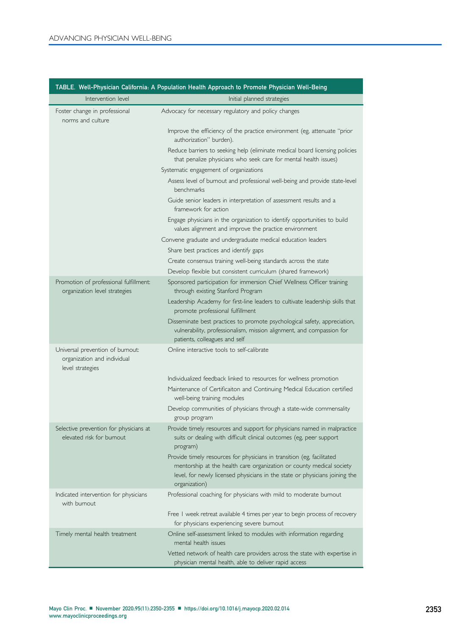<span id="page-3-0"></span>

|                                                                                     | TABLE. Well-Physician California: A Population Health Approach to Promote Physician Well-Being                                                                                                                                                 |
|-------------------------------------------------------------------------------------|------------------------------------------------------------------------------------------------------------------------------------------------------------------------------------------------------------------------------------------------|
| Intervention level                                                                  | Initial planned strategies                                                                                                                                                                                                                     |
| Foster change in professional<br>norms and culture                                  | Advocacy for necessary regulatory and policy changes                                                                                                                                                                                           |
|                                                                                     | Improve the efficiency of the practice environment (eg, attenuate "prior<br>authorization" burden).                                                                                                                                            |
|                                                                                     | Reduce barriers to seeking help (eliminate medical board licensing policies<br>that penalize physicians who seek care for mental health issues)                                                                                                |
|                                                                                     | Systematic engagement of organizations                                                                                                                                                                                                         |
|                                                                                     | Assess level of burnout and professional well-being and provide state-level<br>benchmarks                                                                                                                                                      |
|                                                                                     | Guide senior leaders in interpretation of assessment results and a<br>framework for action                                                                                                                                                     |
|                                                                                     | Engage physicians in the organization to identify opportunities to build<br>values alignment and improve the practice environment                                                                                                              |
|                                                                                     | Convene graduate and undergraduate medical education leaders                                                                                                                                                                                   |
|                                                                                     | Share best practices and identify gaps                                                                                                                                                                                                         |
|                                                                                     | Create consensus training well-being standards across the state                                                                                                                                                                                |
|                                                                                     | Develop flexible but consistent curriculum (shared framework)                                                                                                                                                                                  |
| Promotion of professional fulfillment:<br>organization level strategies             | Sponsored participation for immersion Chief Wellness Officer training<br>through existing Stanford Program                                                                                                                                     |
|                                                                                     | Leadership Academy for first-line leaders to cultivate leadership skills that<br>promote professional fulfillment                                                                                                                              |
|                                                                                     | Disseminate best practices to promote psychological safety, appreciation,<br>vulnerability, professionalism, mission alignment, and compassion for                                                                                             |
|                                                                                     | patients, colleagues and self                                                                                                                                                                                                                  |
| Universal prevention of burnout:<br>organization and individual<br>level strategies | Online interactive tools to self-calibrate                                                                                                                                                                                                     |
|                                                                                     | Individualized feedback linked to resources for wellness promotion                                                                                                                                                                             |
|                                                                                     | Maintenance of Certificaiton and Continuing Medical Education certified<br>well-being training modules                                                                                                                                         |
|                                                                                     | Develop communities of physicians through a state-wide commensality<br>group program                                                                                                                                                           |
| Selective prevention for physicians at<br>elevated risk for burnout                 | Provide timely resources and support for physicians named in malpractice<br>suits or dealing with difficult clinical outcomes (eg, peer support<br>program)                                                                                    |
|                                                                                     | Provide timely resources for physicians in transition (eg, facilitated<br>mentorship at the health care organization or county medical society<br>level, for newly licensed physicians in the state or physicians joining the<br>organization) |
| Indicated intervention for physicians<br>with burnout.                              | Professional coaching for physicians with mild to moderate bumout                                                                                                                                                                              |
|                                                                                     | Free I week retreat available 4 times per year to begin process of recovery<br>for physicians experiencing severe burnout                                                                                                                      |
| Timely mental health treatment                                                      | Online self-assessment linked to modules with information regarding<br>mental health issues                                                                                                                                                    |
|                                                                                     | Vetted network of health care providers across the state with expertise in<br>physician mental health, able to deliver rapid access                                                                                                            |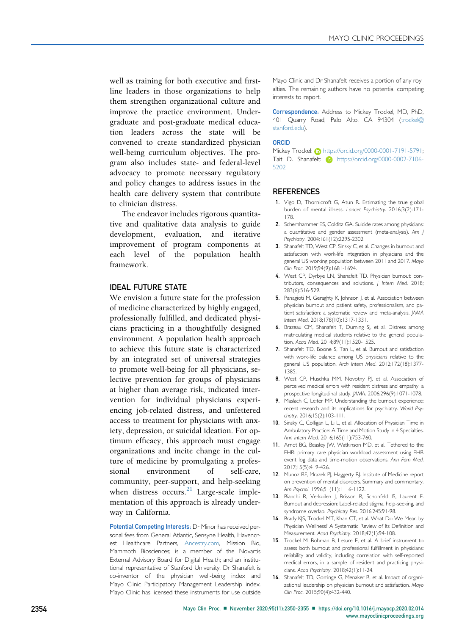well as training for both executive and firstline leaders in those organizations to help them strengthen organizational culture and improve the practice environment. Undergraduate and post-graduate medical education leaders across the state will be convened to create standardized physician well-being curriculum objectives. The program also includes state- and federal-level advocacy to promote necessary regulatory and policy changes to address issues in the health care delivery system that contribute to clinician distress.

The endeavor includes rigorous quantitative and qualitative data analysis to guide development, evaluation, and iterative improvement of program components at each level of the population health framework.

## IDEAL FUTURE STATE

We envision a future state for the profession of medicine characterized by highly engaged, professionally fulfilled, and dedicated physicians practicing in a thoughtfully designed environment. A population health approach to achieve this future state is characterized by an integrated set of universal strategies to promote well-being for all physicians, selective prevention for groups of physicians at higher than average risk, indicated intervention for individual physicians experiencing job-related distress, and unfettered access to treatment for physicians with anxiety, depression, or suicidal ideation. For optimum efficacy, this approach must engage organizations and incite change in the culture of medicine by promulgating a professional environment of self-care, community, peer-support, and help-seeking when distress occurs. $21$  Large-scale implementation of this approach is already underway in California.

Potential Competing Interests: Dr Minor has received personal fees from General Atlantic, Sensyne Health, Havencrest Healthcare Partners, [Ancestry.com](http://Ancestry.com), Mission Bio, Mammoth Biosciences; is a member of the Novartis External Advisory Board for Digital Health; and an institutional representative of Stanford University. Dr Shanafelt is co-inventor of the physician well-being index and Mayo Clinic Participatory Management Leadership index. Mayo Clinic has licensed these instruments for use outside Mayo Clinic and Dr Shanafelt receives a portion of any royalties. The remaining authors have no potential competing interests to report.

Correspondence: Address to Mickey Trockel, MD, PhD, 401 Quarry Road, Palo Alto, CA 94304 ([trockel@](mailto:trockel@stanford.edu) [stanford.edu](mailto:trockel@stanford.edu)).

#### ORCID

Mickey Trockel: (ip [https://orcid.org/0000-0001-7191-5791;](https://orcid.org/0000-0001-7191-5791) [Tait D. Shanafelt:](https://orcid.org/0000-0001-7191-5791) **h**ttps://orcid.org/0000-0002-7106-[5202](https://orcid.org/0000-0002-7106-5202)

#### **REFERENCES**

- <span id="page-4-0"></span>1. Vigo D, Thornicroft G, Atun R. Estimating the true global burden of mental illness. Lancet Psychiatry. 2016;3(2):171- 178.
- <span id="page-4-1"></span>2. Schernhammer ES, Colditz GA. Suicide rates among physicians: a quantitative and gender assessment (meta-analysis). Am J Psychiatry. 2004;161(12):2295-2302.
- <span id="page-4-2"></span>3. Shanafelt TD, West CP, Sinsky C, et al. Changes in burnout and satisfaction with work-life integration in physicians and the general US working population between 2011 and 2017. Mayo Clin Proc. 2019;94(9):1681-1694.
- <span id="page-4-3"></span>4. West CP, Dyrbye LN, Shanafelt TD. Physician burnout: contributors, consequences and solutions. J Intern Med. 2018; 283(6):516-529.
- <span id="page-4-4"></span>5. Panagioti M, Geraghty K, Johnson J, et al. Association between physician burnout and patient safety, professionalism, and patient satisfaction: a systematic review and meta-analysis. JAMA Intern Med. 2018;178(10):1317-1331.
- <span id="page-4-5"></span>6. Brazeau CM, Shanafelt T, Durning SJ, et al. Distress among matriculating medical students relative to the general population. Acad Med. 2014;89(11):1520-1525.
- <span id="page-4-6"></span>7. Shanafelt TD, Boone S, Tan L, et al. Burnout and satisfaction with work-life balance among US physicians relative to the general US population. Arch Intern Med. 2012;172(18):1377- 1385.
- <span id="page-4-7"></span>8. West CP, Huschka MM, Novotny PJ, et al. Association of perceived medical errors with resident distress and empathy: a prospective longitudinal study. JAMA. 2006;296(9):1071-1078.
- <span id="page-4-8"></span>9. Maslach C, Leiter MP. Understanding the burnout experience: recent research and its implications for psychiatry. World Psychatry. 2016;15(2):103-111.
- <span id="page-4-9"></span>10. Sinsky C, Colligan L, Li L, et al. Allocation of Physician Time in Ambulatory Practice: A Time and Motion Study in 4 Specialties. Ann Intern Med. 2016;165(11):753-760.
- <span id="page-4-10"></span>11. Amdt BG, Beasley JW, Watkinson MD, et al. Tethered to the EHR: primary care physician workload assessment using EHR event log data and time-motion observations. Ann Fam Med. 2017;15(5):419-426.
- <span id="page-4-11"></span>12. Munoz RF, Mrazek PJ, Haggerty RJ. Institute of Medicine report on prevention of mental disorders. Summary and commentary. Am Psychol. 1996;51(11):1116-1122.
- <span id="page-4-12"></span>13. Bianchi R, Verkuilen J, Brisson R, Schonfeld IS, Laurent E. Burnout and depression: Label-related stigma, help-seeking, and syndrome overlap. Psychiatry Res. 2016;245:91-98.
- <span id="page-4-13"></span>14. Brady KJS, Trockel MT, Khan CT, et al. What Do We Mean by Physician Wellness? A Systematic Review of Its Definition and Measurement. Acad Psychiatry. 2018;42(1):94-108.
- <span id="page-4-14"></span>15. Trockel M, Bohman B, Lesure E, et al. A brief instrument to assess both burnout and professional fulfillment in physicians: reliability and validity, including correlation with self-reported medical errors, in a sample of resident and practicing physicians. Acad Psychiatry. 2018;42(1):11-24.
- <span id="page-4-15"></span>16. Shanafelt TD, Gorringe G, Menaker R, et al. Impact of organizational leadership on physician burnout and satisfaction. Mayo Clin Proc. 2015;90(4):432-440.